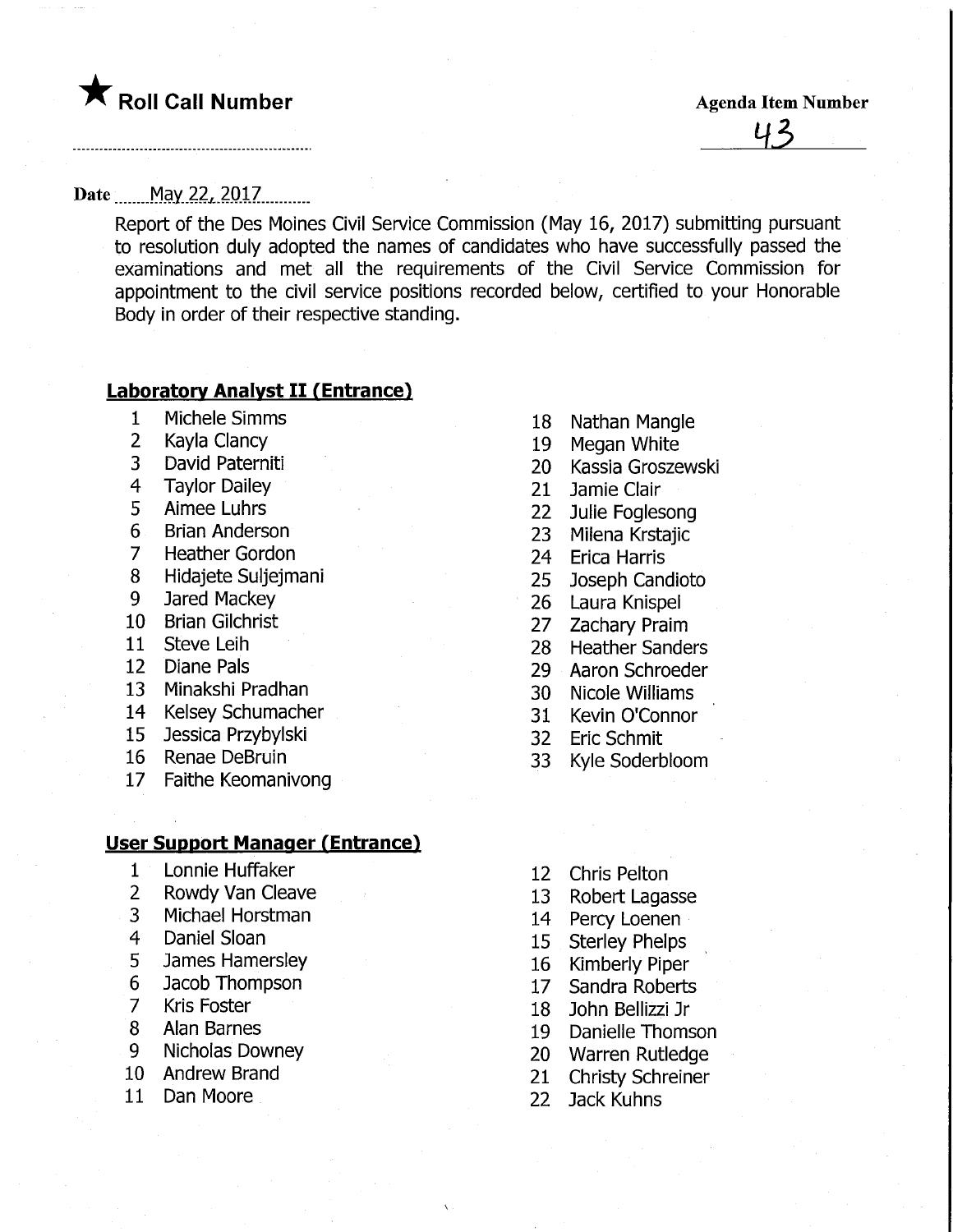**The Solid Call Number** Agenda Item Number

U 2

#### Date ....... May 22, 2017..........

Report of the Des Moines Civil Service Commission (May 16, 2017) submitting pursuant to resolution duly adopted the names of candidates who have successfully passed the examinations and met all the requirements of the Civil Service Commission for appointment to the civil service positions recorded below, certified to your Honorable Body in order of their respective standing.

#### **Laboratory Analyst II (Entrance)**

- Michele Simms
- Kayla Clancy
- David Paterniti
- Taylor Dailey
- Aimee Luhrs
- Brian Anderson
- Heather Gordon
- Hidajete Suljejmani
- Jared Mackey
- Brian Gilchrist
- Steve Leih
- Diane Pals
- Minakshi Pradhan
- Kelsey Schumacher
- Jessica Przybylski
- Renae DeBruin
- Faithe Keomanivong

#### <u>User Support Manager (Entrance)</u>

- Lonnie Huffaker
- Rowdy Van Cleave
- Michael Horstman
- Daniel Sloan
- James Hamersley
- Jacob Thompson
- Kris Foster
- Alan Barnes
- Nicholas Downey
- Andrew Brand
- Dan Moore
- Nathan Mangle
- 19 Megan White
- Kassia Groszewski
- Jamie Clair
- Julie Foglesong
- Milena Krstajic
- Erica Harris
- Joseph Candioto
- Laura Knispel
- Zachary Praim
- Heather Sanders
- Aaron Schroeder
- Nicole Williams
- Kevin O'Connor
- Eric Schmit
- Kyle Soderbloom
- Chris Pelton
- Robert Lagasse
- Percy Loenen
- Sterley Phelps
- Kimberly Piper
- Sandra Roberts
- John Bellizzi Jr
- Danielle Thomson
- Warren Rutledge
- Christy Schreiner
- Jack Kuhns